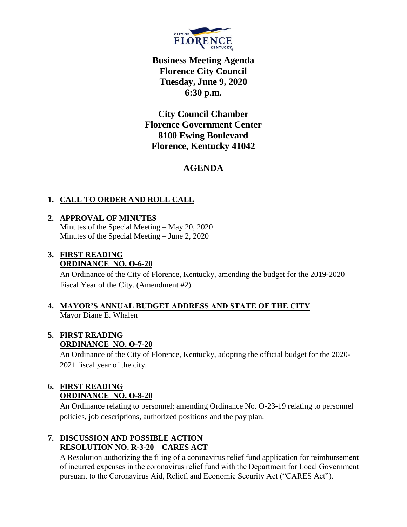

**Business Meeting Agenda Florence City Council Tuesday, June 9, 2020 6:30 p.m.**

**City Council Chamber Florence Government Center 8100 Ewing Boulevard Florence, Kentucky 41042**

# **AGENDA**

# **1. CALL TO ORDER AND ROLL CALL**

## **2. APPROVAL OF MINUTES**

Minutes of the Special Meeting – May 20, 2020 Minutes of the Special Meeting – June 2, 2020

## **3. FIRST READING ORDINANCE NO. O-6-20**

An Ordinance of the City of Florence, Kentucky, amending the budget for the 2019-2020 Fiscal Year of the City. (Amendment #2)

#### **4. MAYOR'S ANNUAL BUDGET ADDRESS AND STATE OF THE CITY** Mayor Diane E. Whalen

# **5. FIRST READING**

# **ORDINANCE NO. O-7-20**

An Ordinance of the City of Florence, Kentucky, adopting the official budget for the 2020- 2021 fiscal year of the city.

## **6. FIRST READING ORDINANCE NO. O-8-20**

An Ordinance relating to personnel; amending Ordinance No. O-23-19 relating to personnel policies, job descriptions, authorized positions and the pay plan.

#### **7. DISCUSSION AND POSSIBLE ACTION RESOLUTION NO. R-3-20 – CARES ACT**

A Resolution authorizing the filing of a coronavirus relief fund application for reimbursement of incurred expenses in the coronavirus relief fund with the Department for Local Government pursuant to the Coronavirus Aid, Relief, and Economic Security Act ("CARES Act").